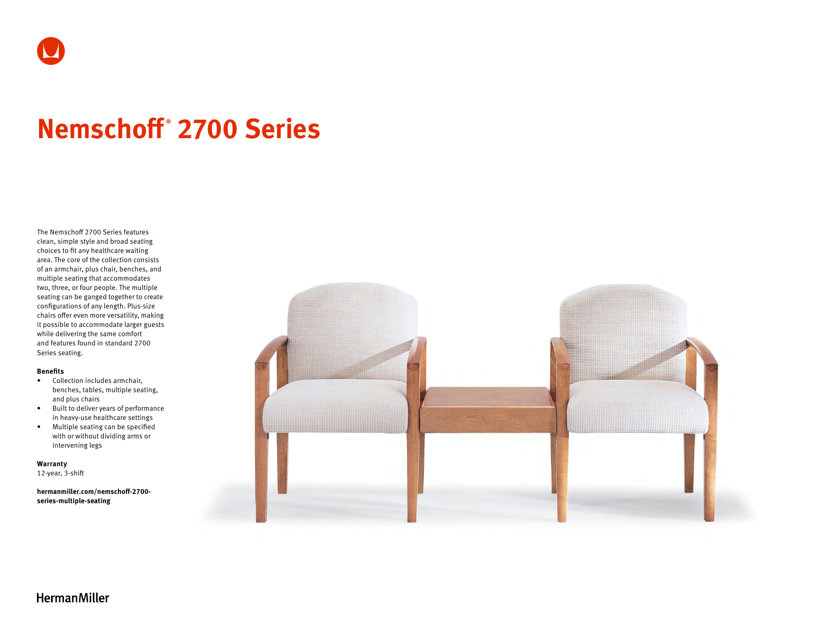

# **Nemschoff ® 2700 Series**

The Nemschoff 2700 Series features clean, simple style and broad seating choices to fit any healthcare waiting area. The core of the collection consists of an armchair, plus chair, benches, and multiple seating that accommodates two, three, or four people. The multiple seating can be ganged together to create configurations of any length. Plus-size chairs offer even more versatility, making it possible to accommodate larger guests while delivering the same comfort and features found in standard 2700 Series seating.

#### **Benefits**

- Collection includes armchair, benches, tables, multiple seating, and plus chairs
- Built to deliver years of performance in heavy-use healthcare settings
- Multiple seating can be specified with or without dividing arms or intervening legs

**Warranty** 

12-year, 3-shift

**[hermanmiller.com/nemschoff-2700](http://hermanmiller.com/nemschoff-2700-series-multiple-seating) [series-multiple-seating](http://hermanmiller.com/nemschoff-2700-series-multiple-seating)**